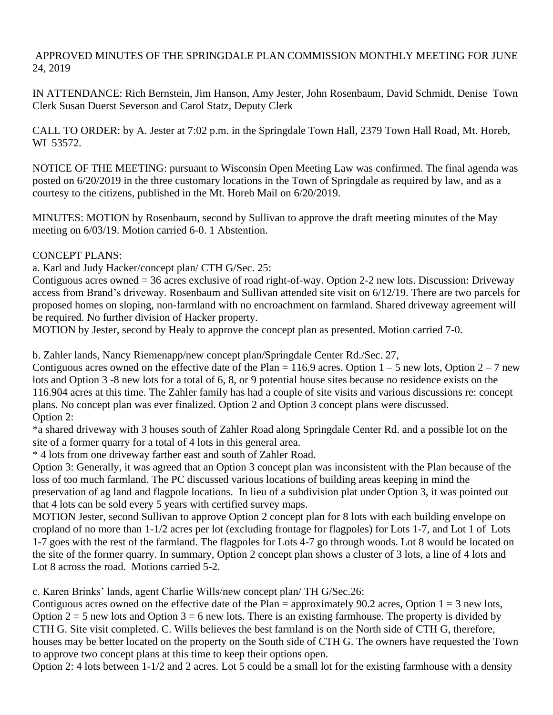APPROVED MINUTES OF THE SPRINGDALE PLAN COMMISSION MONTHLY MEETING FOR JUNE 24, 2019

IN ATTENDANCE: Rich Bernstein, Jim Hanson, Amy Jester, John Rosenbaum, David Schmidt, Denise Town Clerk Susan Duerst Severson and Carol Statz, Deputy Clerk

CALL TO ORDER: by A. Jester at 7:02 p.m. in the Springdale Town Hall, 2379 Town Hall Road, Mt. Horeb, WI 53572.

NOTICE OF THE MEETING: pursuant to Wisconsin Open Meeting Law was confirmed. The final agenda was posted on 6/20/2019 in the three customary locations in the Town of Springdale as required by law, and as a courtesy to the citizens, published in the Mt. Horeb Mail on 6/20/2019.

MINUTES: MOTION by Rosenbaum, second by Sullivan to approve the draft meeting minutes of the May meeting on 6/03/19. Motion carried 6-0. 1 Abstention.

## CONCEPT PLANS:

a. Karl and Judy Hacker/concept plan/ CTH G/Sec. 25:

Contiguous acres owned = 36 acres exclusive of road right-of-way. Option 2-2 new lots. Discussion: Driveway access from Brand's driveway. Rosenbaum and Sullivan attended site visit on 6/12/19. There are two parcels for proposed homes on sloping, non-farmland with no encroachment on farmland. Shared driveway agreement will be required. No further division of Hacker property.

MOTION by Jester, second by Healy to approve the concept plan as presented. Motion carried 7-0.

b. Zahler lands, Nancy Riemenapp/new concept plan/Springdale Center Rd./Sec. 27,

Contiguous acres owned on the effective date of the Plan = 116.9 acres. Option  $1 - 5$  new lots, Option  $2 - 7$  new lots and Option 3 -8 new lots for a total of 6, 8, or 9 potential house sites because no residence exists on the 116.904 acres at this time. The Zahler family has had a couple of site visits and various discussions re: concept plans. No concept plan was ever finalized. Option 2 and Option 3 concept plans were discussed. Option 2:

\*a shared driveway with 3 houses south of Zahler Road along Springdale Center Rd. and a possible lot on the site of a former quarry for a total of 4 lots in this general area.

\* 4 lots from one driveway farther east and south of Zahler Road.

Option 3: Generally, it was agreed that an Option 3 concept plan was inconsistent with the Plan because of the loss of too much farmland. The PC discussed various locations of building areas keeping in mind the preservation of ag land and flagpole locations. In lieu of a subdivision plat under Option 3, it was pointed out that 4 lots can be sold every 5 years with certified survey maps.

MOTION Jester, second Sullivan to approve Option 2 concept plan for 8 lots with each building envelope on cropland of no more than 1-1/2 acres per lot (excluding frontage for flagpoles) for Lots 1-7, and Lot 1 of Lots 1-7 goes with the rest of the farmland. The flagpoles for Lots 4-7 go through woods. Lot 8 would be located on the site of the former quarry. In summary, Option 2 concept plan shows a cluster of 3 lots, a line of 4 lots and Lot 8 across the road. Motions carried 5-2.

c. Karen Brinks' lands, agent Charlie Wills/new concept plan/ TH G/Sec.26:

Contiguous acres owned on the effective date of the Plan = approximately 90.2 acres, Option  $1 = 3$  new lots, Option  $2 = 5$  new lots and Option  $3 = 6$  new lots. There is an existing farmhouse. The property is divided by CTH G. Site visit completed. C. Wills believes the best farmland is on the North side of CTH G, therefore, houses may be better located on the property on the South side of CTH G. The owners have requested the Town to approve two concept plans at this time to keep their options open.

Option 2: 4 lots between 1-1/2 and 2 acres. Lot 5 could be a small lot for the existing farmhouse with a density